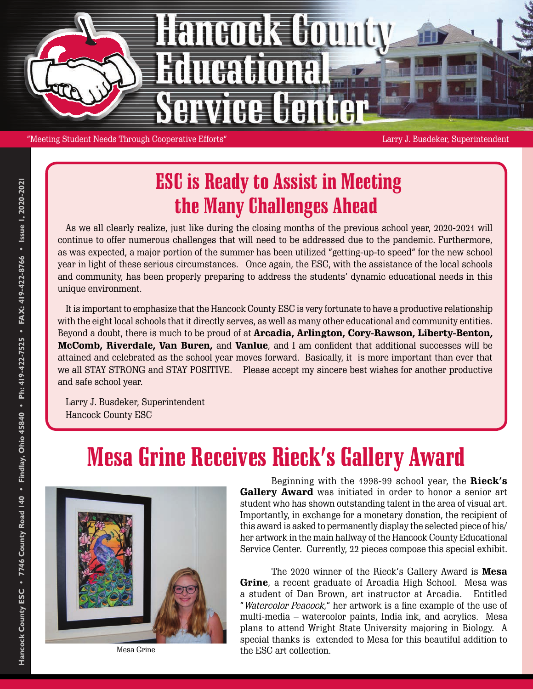

"Meeting Student Needs Through Cooperative Efforts" Larry J. Busdeker, Superintendent

#### ESC is Ready to Assist in Meeting the Many Challenges Ahead

As we all clearly realize, just like during the closing months of the previous school year, 2020-2021 will continue to offer numerous challenges that will need to be addressed due to the pandemic. Furthermore, as was expected, a major portion of the summer has been utilized "getting-up-to speed" for the new school year in light of these serious circumstances. Once again, the ESC, with the assistance of the local schools and community, has been properly preparing to address the students' dynamic educational needs in this unique environment.

It is important to emphasize that the Hancock County ESC is very fortunate to have a productive relationship with the eight local schools that it directly serves, as well as many other educational and community entities. Beyond a doubt, there is much to be proud of at **Arcadia, Arlington, Cory-Rawson, Liberty-Benton, McComb, Riverdale, Van Buren,** and **Vanlue**, and I am confident that additional successes will be attained and celebrated as the school year moves forward. Basically, it is more important than ever that we all STAY STRONG and STAY POSITIVE. Please accept my sincere best wishes for another productive and safe school year.

Larry J. Busdeker, Superintendent Hancock County ESC

#### Mesa Grine Receives Rieck's Gallery Award



Mesa Grine

Beginning with the 1998-99 school year, the **Rieck's Gallery Award** was initiated in order to honor a senior art student who has shown outstanding talent in the area of visual art. Importantly, in exchange for a monetary donation, the recipient of this award is asked to permanently display the selected piece of his/ her artwork in the main hallway of the Hancock County Educational Service Center. Currently, 22 pieces compose this special exhibit.

The 2020 winner of the Rieck's Gallery Award is **Mesa Grine**, a recent graduate of Arcadia High School. Mesa was a student of Dan Brown, art instructor at Arcadia. Entitled "Watercolor Peacock," her artwork is a fine example of the use of multi-media – watercolor paints, India ink, and acrylics. Mesa plans to attend Wright State University majoring in Biology. A special thanks is extended to Mesa for this beautiful addition to the ESC art collection.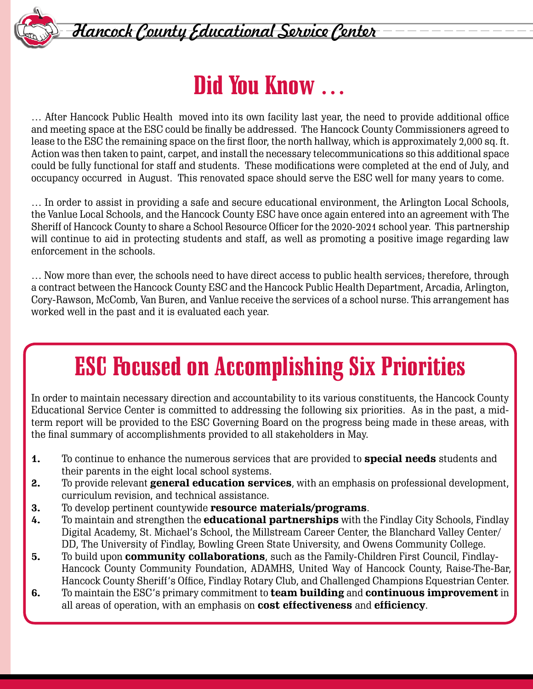

Hancock County Educational Service Center

## Did You Know …

… After Hancock Public Health moved into its own facility last year, the need to provide additional office and meeting space at the ESC could be finally be addressed. The Hancock County Commissioners agreed to lease to the ESC the remaining space on the first floor, the north hallway, which is approximately 2,000 sq. ft. Action was then taken to paint, carpet, and install the necessary telecommunications so this additional space could be fully functional for staff and students. These modifications were completed at the end of July, and occupancy occurred in August. This renovated space should serve the ESC well for many years to come.

… In order to assist in providing a safe and secure educational environment, the Arlington Local Schools, the Vanlue Local Schools, and the Hancock County ESC have once again entered into an agreement with The Sheriff of Hancock County to share a School Resource Officer for the 2020-2021 school year. This partnership will continue to aid in protecting students and staff, as well as promoting a positive image regarding law enforcement in the schools.

... Now more than ever, the schools need to have direct access to public health services; therefore, through a contract between the Hancock County ESC and the Hancock Public Health Department, Arcadia, Arlington, Cory-Rawson, McComb, Van Buren, and Vanlue receive the services of a school nurse. This arrangement has worked well in the past and it is evaluated each year.

### ESC Focused on Accomplishing Six Priorities

In order to maintain necessary direction and accountability to its various constituents, the Hancock County Educational Service Center is committed to addressing the following six priorities. As in the past, a midterm report will be provided to the ESC Governing Board on the progress being made in these areas, with the final summary of accomplishments provided to all stakeholders in May.

- **1.** To continue to enhance the numerous services that are provided to **special needs** students and their parents in the eight local school systems.
- **2.** To provide relevant **general education services**, with an emphasis on professional development, curriculum revision, and technical assistance.
- **3.** To develop pertinent countywide **resource materials/programs**.
- **4.** To maintain and strengthen the **educational partnerships** with the Findlay City Schools, Findlay Digital Academy, St. Michael's School, the Millstream Career Center, the Blanchard Valley Center/ DD, The University of Findlay, Bowling Green State University, and Owens Community College.
- **5.** To build upon **community collaborations**, such as the Family-Children First Council, Findlay-Hancock County Community Foundation, ADAMHS, United Way of Hancock County, Raise-The-Bar, Hancock County Sheriff's Office, Findlay Rotary Club, and Challenged Champions Equestrian Center.
- **6.** To maintain the ESC's primary commitment to **team building** and **continuous improvement** in all areas of operation, with an emphasis on **cost effectiveness** and **efficiency**.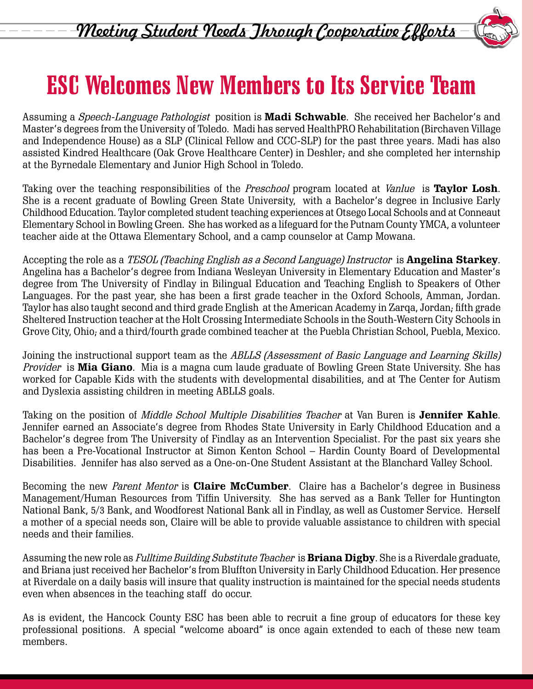



# ESC Welcomes New Members to Its Service Team

Assuming a Speech-Language Pathologist position is **Madi Schwable**. She received her Bachelor's and Master's degrees from the University of Toledo. Madi has served HealthPRO Rehabilitation (Birchaven Village and Independence House) as a SLP (Clinical Fellow and CCC-SLP) for the past three years. Madi has also assisted Kindred Healthcare (Oak Grove Healthcare Center) in Deshler; and she completed her internship at the Byrnedale Elementary and Junior High School in Toledo.

Taking over the teaching responsibilities of the Preschool program located at Vanlue is **Taylor Losh**. She is a recent graduate of Bowling Green State University, with a Bachelor's degree in Inclusive Early Childhood Education. Taylor completed student teaching experiences at Otsego Local Schools and at Conneaut Elementary School in Bowling Green. She has worked as a lifeguard for the Putnam County YMCA, a volunteer teacher aide at the Ottawa Elementary School, and a camp counselor at Camp Mowana.

Accepting the role as a TESOL (Teaching English as a Second Language) Instructor is **Angelina Starkey**. Angelina has a Bachelor's degree from Indiana Wesleyan University in Elementary Education and Master's degree from The University of Findlay in Bilingual Education and Teaching English to Speakers of Other Languages. For the past year, she has been a first grade teacher in the Oxford Schools, Amman, Jordan. Taylor has also taught second and third grade English at the American Academy in Zarqa, Jordan; fifth grade Sheltered Instruction teacher at the Holt Crossing Intermediate Schools in the South-Western City Schools in Grove City, Ohio; and a third/fourth grade combined teacher at the Puebla Christian School, Puebla, Mexico.

Joining the instructional support team as the ABLLS (Assessment of Basic Language and Learning Skills) Provider is **Mia Giano**. Mia is a magna cum laude graduate of Bowling Green State University. She has worked for Capable Kids with the students with developmental disabilities, and at The Center for Autism and Dyslexia assisting children in meeting ABLLS goals.

Taking on the position of Middle School Multiple Disabilities Teacher at Van Buren is **Jennifer Kahle**. Jennifer earned an Associate's degree from Rhodes State University in Early Childhood Education and a Bachelor's degree from The University of Findlay as an Intervention Specialist. For the past six years she has been a Pre-Vocational Instructor at Simon Kenton School – Hardin County Board of Developmental Disabilities. Jennifer has also served as a One-on-One Student Assistant at the Blanchard Valley School.

Becoming the new Parent Mentor is **Claire McCumber**. Claire has a Bachelor's degree in Business Management/Human Resources from Tiffin University. She has served as a Bank Teller for Huntington National Bank, 5/3 Bank, and Woodforest National Bank all in Findlay, as well as Customer Service. Herself a mother of a special needs son, Claire will be able to provide valuable assistance to children with special needs and their families.

Assuming the new role as Fulltime Building Substitute Teacher is **Briana Digby**. She is a Riverdale graduate, and Briana just received her Bachelor's from Bluffton University in Early Childhood Education. Her presence at Riverdale on a daily basis will insure that quality instruction is maintained for the special needs students even when absences in the teaching staff do occur.

As is evident, the Hancock County ESC has been able to recruit a fine group of educators for these key professional positions. A special "welcome aboard" is once again extended to each of these new team members.